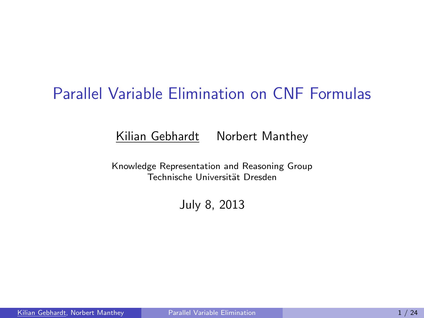# Parallel Variable Elimination on CNF Formulas

#### Kilian Gebhardt Norbert Manthey

Knowledge Representation and Reasoning Group Technische Universität Dresden

<span id="page-0-0"></span>July 8, 2013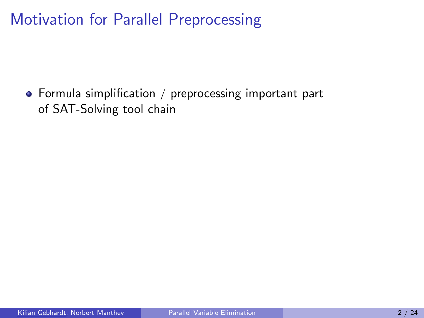Formula simplification / preprocessing important part of SAT-Solving tool chain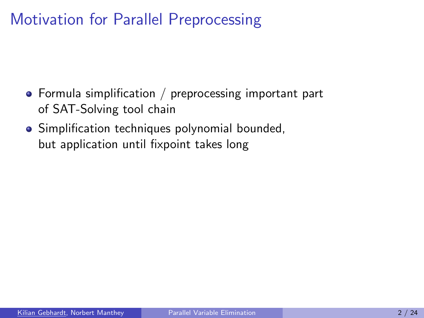- $\bullet$  Formula simplification / preprocessing important part of SAT-Solving tool chain
- Simplification techniques polynomial bounded, but application until fixpoint takes long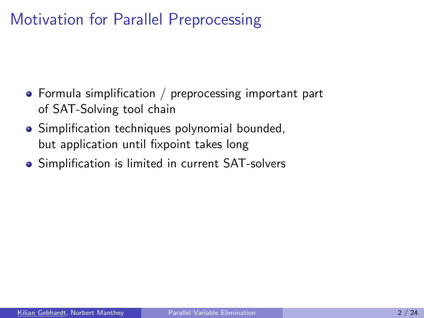- Formula simplification / preprocessing important part of SAT-Solving tool chain
- Simplification techniques polynomial bounded, but application until fixpoint takes long
- Simplification is limited in current SAT-solvers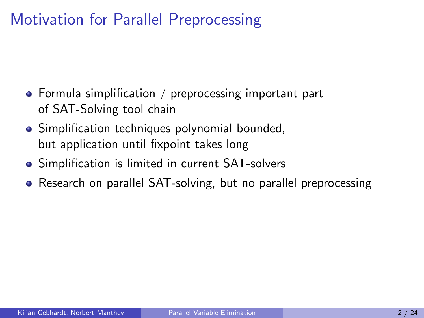- Formula simplification / preprocessing important part of SAT-Solving tool chain
- Simplification techniques polynomial bounded, but application until fixpoint takes long
- Simplification is limited in current SAT-solvers
- Research on parallel SAT-solving, but no parallel preprocessing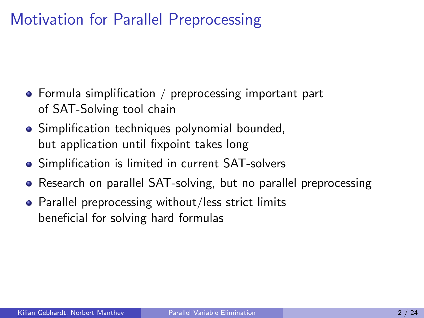- Formula simplification / preprocessing important part of SAT-Solving tool chain
- Simplification techniques polynomial bounded, but application until fixpoint takes long
- Simplification is limited in current SAT-solvers
- Research on parallel SAT-solving, but no parallel preprocessing
- Parallel preprocessing without/less strict limits beneficial for solving hard formulas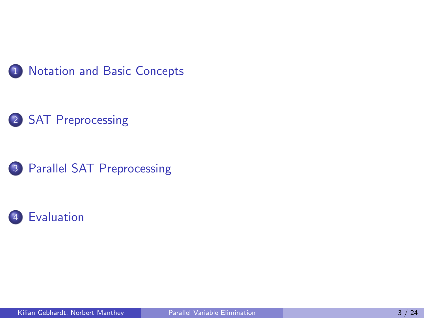





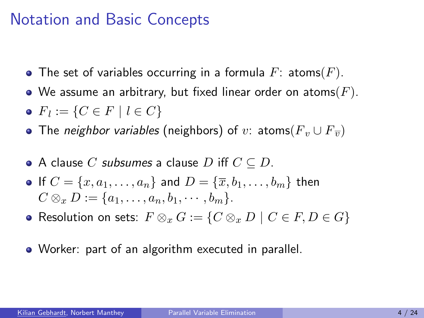#### Notation and Basic Concepts

- The set of variables occurring in a formula  $F:$  atoms(F).
- We assume an arbitrary, but fixed linear order on atoms  $(F)$ .
- $F_l := \{ C \in F \mid l \in C \}$
- The neighbor variables (neighbors) of v: atoms( $F_v \cup F_{\overline{v}}$ )
- $\bullet$  A clause C subsumes a clause D iff  $C \subseteq D$ .
- If  $C = \{x, a_1, \ldots, a_n\}$  and  $D = \{\overline{x}, b_1, \ldots, b_m\}$  then  $C \otimes_{r} D := \{a_1, \ldots, a_n, b_1, \cdots, b_m\}.$
- Resolution on sets:  $F \otimes_x G := \{C \otimes_x D \mid C \in F, D \in G\}$
- <span id="page-7-0"></span>Worker: part of an algorithm executed in parallel.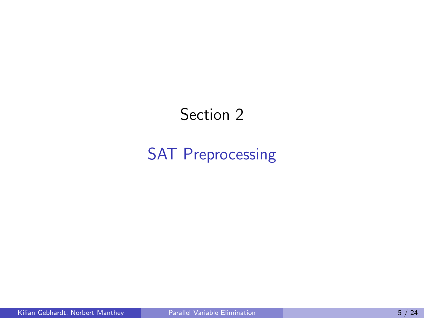# <span id="page-8-0"></span>Section 2

# [SAT Preprocessing](#page-8-0)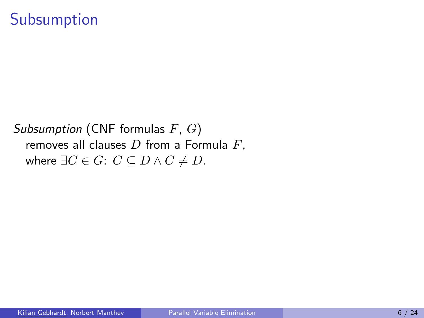#### Subsumption

Subsumption (CNF formulas  $F, G$ ) removes all clauses  $D$  from a Formula  $F$ , where  $\exists C \in G: C \subseteq D \land C \neq D$ .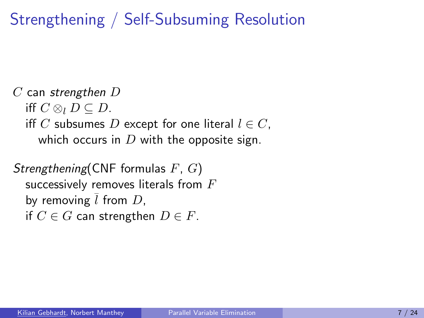# Strengthening / Self-Subsuming Resolution

```
C can strengthen Diff C \otimes_{l} D \subseteq D.
iff C subsumes D except for one literal l \in C,
   which occurs in D with the opposite sign.
```

```
Strengthening(CNF formulas F, G)
successively removes literals from Fby removing \overline{l} from D,
if C \in G can strengthen D \in F.
```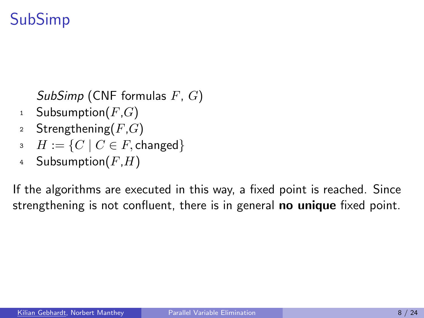# SubSimp

SubSimp (CNF formulas  $F, G$ )

- 1 Subsumption $(F,G)$
- 2 Strengthening $(F,G)$
- $\overline{\mathcal{B}}$   $H := \{ C \mid C \in F, \text{changed} \}$
- 4 Subsumption $(F,H)$

If the algorithms are executed in this way, a fixed point is reached. Since strengthening is not confluent, there is in general **no unique** fixed point.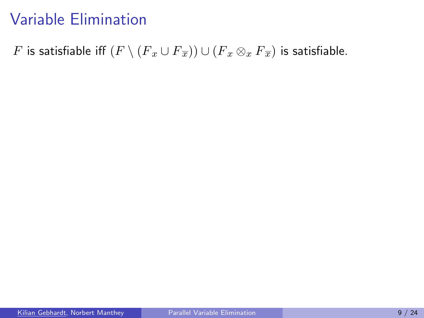# Variable Elimination

F is satisfiable iff  $(F \setminus (F_x \cup F_{\overline{x}})) \cup (F_x \otimes_x F_{\overline{x}})$  is satisfiable.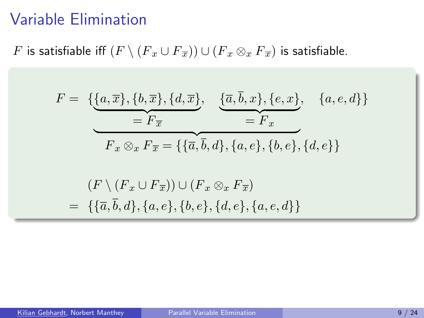### Variable Elimination

F is satisfiable iff  $(F \setminus (F_x \cup F_{\overline{x}})) \cup (F_x \otimes_x F_{\overline{x}})$  is satisfiable.

$$
F = \{ \underbrace{\{a, \overline{x}\}, \{b, \overline{x}\}, \{d, \overline{x}\}}_{=F_{\overline{x}}} , \underbrace{\{\overline{a}, \overline{b}, x\}, \{e, x\}}_{=F_x} , \{a, e, d\} \}
$$
\n
$$
F_x \otimes_x F_{\overline{x}} = \{ \{\overline{a}, \overline{b}, d\}, \{a, e\}, \{b, e\}, \{d, e\} \}
$$
\n
$$
= \{ \{\overline{a}, \overline{b}, d\}, \{a, e\}, \{b, e\}, \{d, e, d\} \}
$$
\n
$$
= \{ \{\overline{a}, \overline{b}, d\}, \{a, e\}, \{b, e\}, \{d, e\}, \{a, e, d\} \}
$$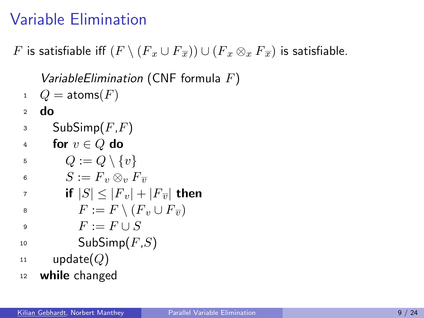# Variable Elimination

F is satisfiable iff  $(F \setminus (F_x \cup F_{\overline{x}})) \cup (F_x \otimes_x F_{\overline{x}})$  is satisfiable.

VariableElimination (CNF formula  $F$ )

- $Q = \text{atoms}(F)$
- <sup>2</sup> do
- $3$  SubSimp $(F,F)$
- 4 for  $v \in Q$  do
- $\begin{array}{cc} \text{5} & Q := Q \setminus \{v\} \end{array}$
- 6  $S := F_v \otimes_v F_{\overline{v}}$

$$
\tau \qquad \qquad \text{if } |S| \le |F_v| + |F_{\overline{v}}| \text{ then}
$$

$$
s \qquad \qquad F := F \setminus (F_v \cup F_{\overline{v}})
$$

- 9  $F := F \cup S$
- $10$  SubSimp $(F,S)$
- $11$  update $(Q)$
- <sup>12</sup> while changed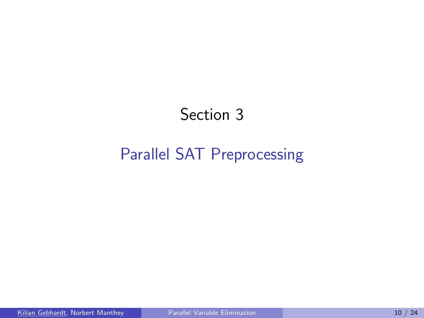# <span id="page-15-0"></span>Section 3

# [Parallel SAT Preprocessing](#page-15-0)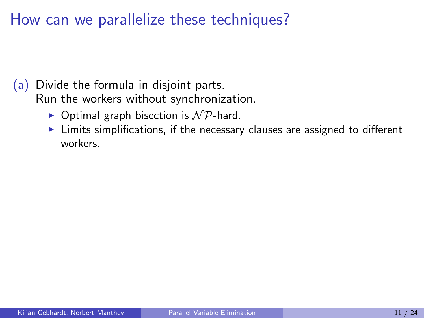How can we parallelize these techniques?

- (a) Divide the formula in disjoint parts. Run the workers without synchronization.
	- $\triangleright$  Optimal graph bisection is  $\mathcal{NP}$ -hard.
	- $\blacktriangleright$  Limits simplifications, if the necessary clauses are assigned to different workers.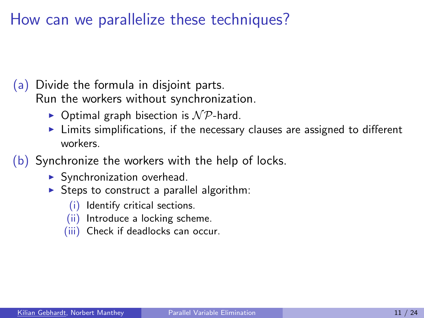How can we parallelize these techniques?

- (a) Divide the formula in disjoint parts. Run the workers without synchronization.
	- $\triangleright$  Optimal graph bisection is  $\mathcal{NP}$ -hard.
	- $\blacktriangleright$  Limits simplifications, if the necessary clauses are assigned to different workers.
- (b) Synchronize the workers with the help of locks.
	- $\blacktriangleright$  Synchronization overhead.
	- $\triangleright$  Steps to construct a parallel algorithm:
		- (i) Identify critical sections.
		- (ii) Introduce a locking scheme.
		- (iii) Check if deadlocks can occur.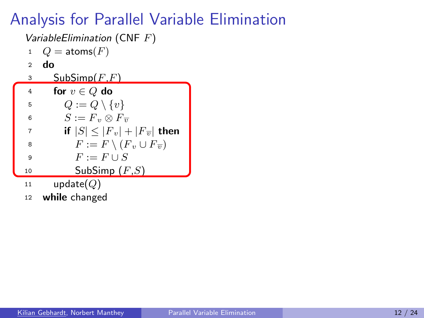- 1  $Q = \text{atoms}(F)$
- <sup>2</sup> do
- $3$  SubSimp $(F,F)$
- 4 for  $v \in Q$  do 5  $Q := Q \setminus \{v\}$ 6  $S := F_v \otimes F_{\overline{v}}$ 7 if  $|S| \leq |F_v| + |F_{\overline{v}}|$  then 8  $F := F \setminus (F_v \cup F_{\overline{v}})$ 9  $F := F \cup S$ 10 SubSimp  $(F,S)$ 11  $update(Q)$ 
	- <sup>12</sup> while changed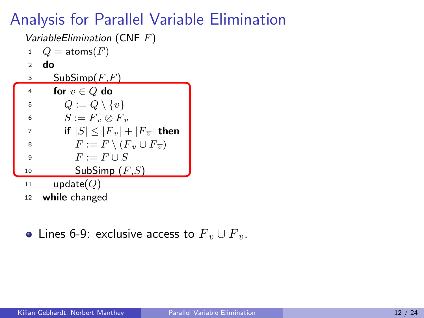- 1  $Q = \text{atoms}(F)$
- <sup>2</sup> do
- $3$  SubSimp $(F,F)$
- 4 for  $v \in Q$  do 5  $Q := Q \setminus \{v\}$ <br>6  $S := F_v \otimes F_v$  $S := F_v \otimes F_{\overline{v}}$ 7 if  $|S| \leq |F_v| + |F_{\overline{v}}|$  then 8  $F := F \setminus (F_v \cup F_{\overline{v}})$ 9  $F := F \cup S$ 10 SubSimp  $(F,S)$ 
	- 11  $update(Q)$
	- <sup>12</sup> while changed
	- Lines 6-9: exclusive access to  $F_v \cup F_{\overline{v}}$ .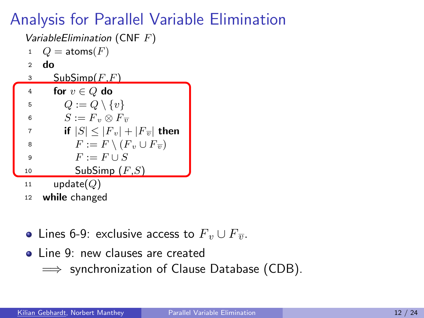- 1  $Q = \text{atoms}(F)$
- <sup>2</sup> do
- $3$  SubSimp $(F,F)$
- 4 for  $v \in Q$  do 5  $Q := Q \setminus \{v\}$ <br>6  $S := F_v \otimes F_v$  $S := F_v \otimes F_{\overline{v}}$ 7 if  $|S| \leq |F_v| + |F_{\overline{v}}|$  then 8  $F := F \setminus (F_v \cup F_{\overline{v}})$ 9  $F := F \cup S$
- 10 SubSimp  $(F,S)$
- 11  $update(Q)$
- <sup>12</sup> while changed
- Lines 6-9: exclusive access to  $F_v \cup F_{\overline{v}}$ .
- **o** Line 9: new clauses are created
	- $\implies$  synchronization of Clause Database (CDB).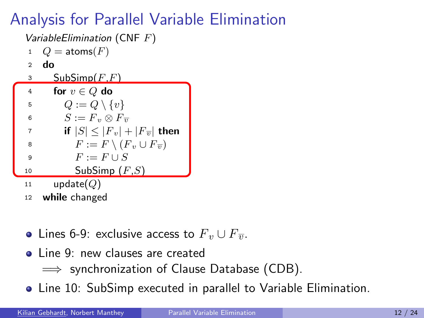- 1  $Q = \text{atoms}(F)$
- <sup>2</sup> do
- $3$  SubSimp $(F,F)$
- 4 for  $v \in Q$  do 5  $Q := Q \setminus \{v\}$ 6  $S := F_v \otimes F_{\overline{v}}$ 7 if  $|S| \leq |F_v| + |F_{\overline{v}}|$  then 8  $F := F \setminus (F_v \cup F_{\overline{v}})$
- 9  $F := F \cup S$ 10 SubSimp  $(F,S)$
- 11  $update(Q)$
- <sup>12</sup> while changed
- Lines 6-9: exclusive access to  $F_v \cup F_{\overline{v}}$ .
- **o** Line 9: new clauses are created
	- $\implies$  synchronization of Clause Database (CDB).
- Line 10: SubSimp executed in parallel to Variable Elimination.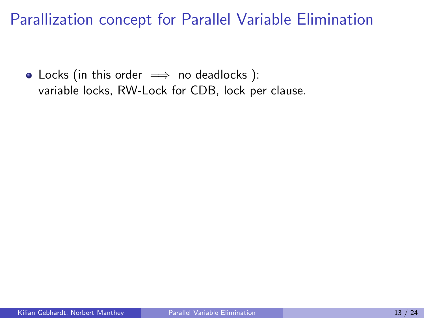• Locks (in this order  $\implies$  no deadlocks): variable locks, RW-Lock for CDB, lock per clause.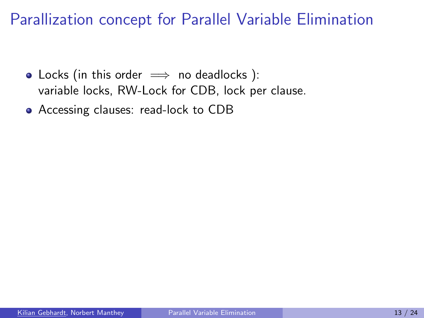- Locks (in this order  $\implies$  no deadlocks): variable locks, RW-Lock for CDB, lock per clause.
- Accessing clauses: read-lock to CDB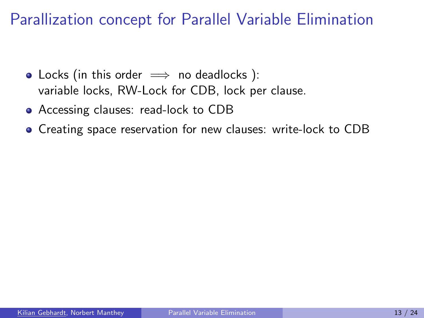- Locks (in this order  $\implies$  no deadlocks): variable locks, RW-Lock for CDB, lock per clause.
- Accessing clauses: read-lock to CDB
- Creating space reservation for new clauses: write-lock to CDB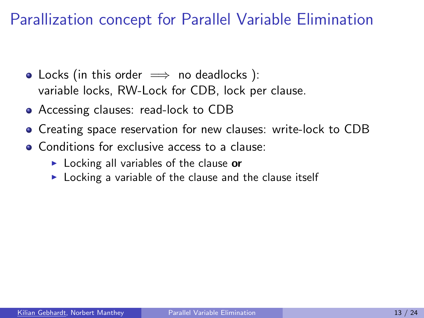- Locks (in this order  $\implies$  no deadlocks): variable locks, RW-Lock for CDB, lock per clause.
- Accessing clauses: read-lock to CDB
- **•** Creating space reservation for new clauses: write-lock to CDB
- Conditions for exclusive access to a clause:
	- $\triangleright$  Locking all variables of the clause or
	- $\triangleright$  Locking a variable of the clause and the clause itself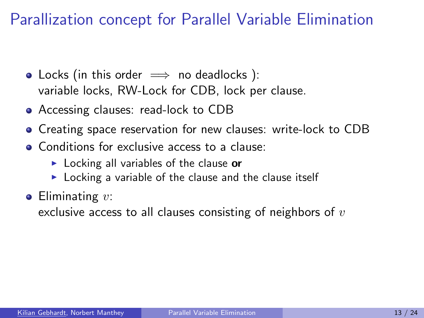- Locks (in this order  $\implies$  no deadlocks): variable locks, RW-Lock for CDB, lock per clause.
- Accessing clauses: read-lock to CDB
- **•** Creating space reservation for new clauses: write-lock to CDB
- Conditions for exclusive access to a clause:
	- $\triangleright$  Locking all variables of the clause or
	- $\triangleright$  Locking a variable of the clause and the clause itself
- $\bullet$  Eliminating  $v$ :

exclusive access to all clauses consisting of neighbors of  $v$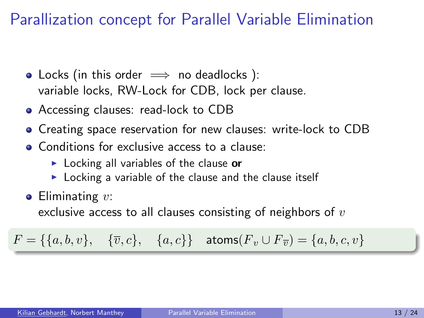- Locks (in this order  $\implies$  no deadlocks): variable locks, RW-Lock for CDB, lock per clause.
- Accessing clauses: read-lock to CDB
- **•** Creating space reservation for new clauses: write-lock to CDB
- Conditions for exclusive access to a clause:
	- $\triangleright$  Locking all variables of the clause or
	- $\triangleright$  Locking a variable of the clause and the clause itself
- $\bullet$  Eliminating  $v$ :

exclusive access to all clauses consisting of neighbors of  $v$ 

 $F = \{\{a, b, v\}, \quad \{\overline{v}, c\}, \quad \{a, c\}\}\quad \text{atoms}(F_v \cup F_{\overline{v}}) = \{a, b, c, v\}$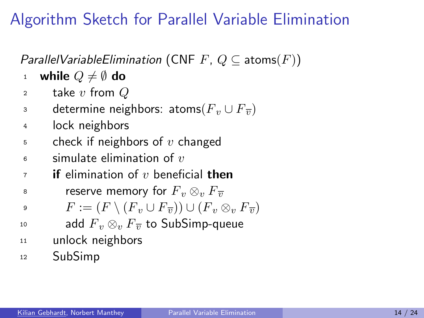# Algorithm Sketch for Parallel Variable Elimination

*ParallelVariableElimination* (CNF F,  $Q \subseteq$  atoms(F))

- 1 while  $Q \neq \emptyset$  do
- 2 take v from  $Q$
- 3 determine neighbors: atoms( $F_v ∪ F_{\overline{v}}$ )
- <sup>4</sup> lock neighbors
- $5$  check if neighbors of v changed
- $\epsilon$  simulate elimination of  $v$
- $7$  if elimination of v beneficial then
- 8 reserve memory for  $F_v \otimes_v F_{\overline{v}}$
- 9  $F := (F \setminus (F_v \cup F_{\overline{v}})) \cup (F_v \otimes_v F_{\overline{v}})$
- 10 add  $F_v \otimes_v F_{\overline{v}}$  to SubSimp-queue
- <sup>11</sup> unlock neighbors
- <sup>12</sup> SubSimp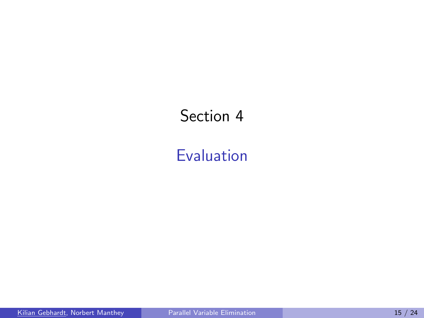# Section 4

### <span id="page-29-0"></span>[Evaluation](#page-29-0)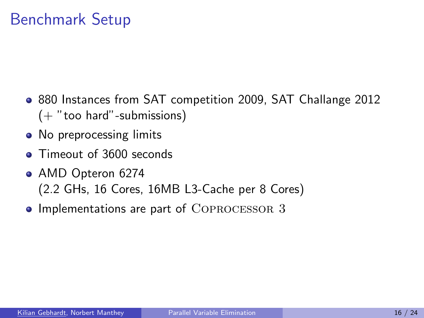# Benchmark Setup

- 880 Instances from SAT competition 2009, SAT Challange 2012  $($ + "too hard"-submissions)
- No preprocessing limits
- **Q.** Timeout of 3600 seconds
- AMD Opteron 6274 (2.2 GHs, 16 Cores, 16MB L3-Cache per 8 Cores)
- Implementations are part of COPROCESSOR 3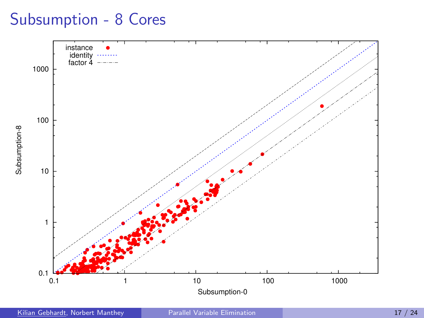### Subsumption - 8 Cores

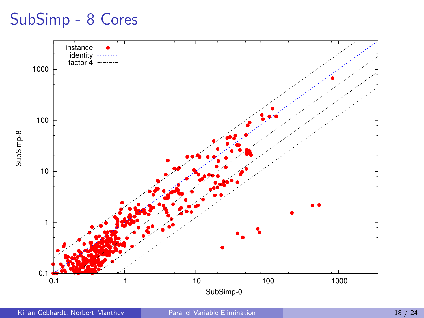#### SubSimp - 8 Cores

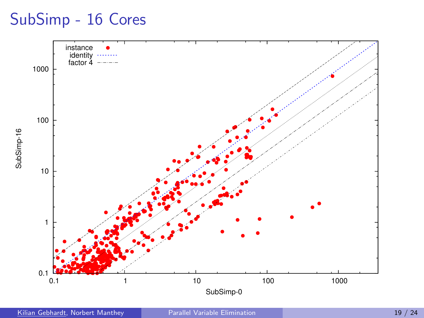#### SubSimp - 16 Cores

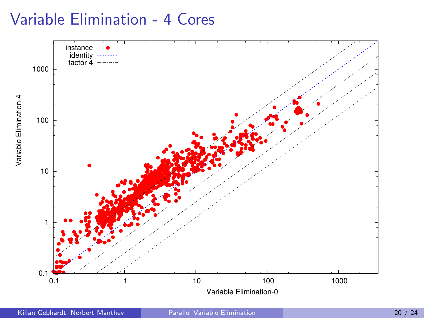#### Variable Elimination - 4 Cores

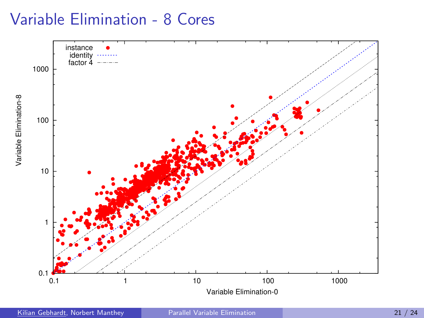#### Variable Elimination - 8 Cores



Kilian Gebhardt, Norbert Manthey [Parallel Variable Elimination](#page-0-0) 21 / 24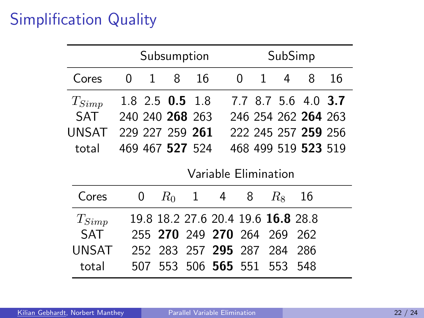# Simplification Quality

|            | Subsumption          |   |       |              |                                    | SubSimp |   |       |                     |    |
|------------|----------------------|---|-------|--------------|------------------------------------|---------|---|-------|---------------------|----|
| Cores      | $\Omega$             | 1 | 8     | 16           |                                    | 0       | 1 | 4     | 8                   | 16 |
| $T_{Simp}$ | $1.8$ 2.5 0.5 1.8    |   |       |              |                                    |         |   |       | 7.7 8.7 5.6 4.0 3.7 |    |
| SAT        | 240 240 268 263      |   |       |              |                                    |         |   |       | 246 254 262 264 263 |    |
| UNSAT      | 229 227 259 261      |   |       |              |                                    |         |   |       | 222 245 257 259 256 |    |
| total      | 469 467 527 524      |   |       |              |                                    |         |   |       | 468 499 519 523 519 |    |
|            | Variable Elimination |   |       |              |                                    |         |   |       |                     |    |
| Cores      | 0                    |   | $R_0$ | $\mathbf{1}$ | 4                                  | 8       |   | $R_8$ | 16                  |    |
| $T_{Simp}$ |                      |   |       |              | 19.8 18.2 27.6 20.4 19.6 16.8 28.8 |         |   |       |                     |    |
| SAT        |                      |   |       |              | 255 270 249 270 264                |         |   | 269   | 262                 |    |
| UNSAT      |                      |   |       |              | 252 283 257 295 287                |         |   | -284  | 286                 |    |
| total      | 507                  |   | 553   |              | 506 565 551                        |         |   | 553   | 548                 |    |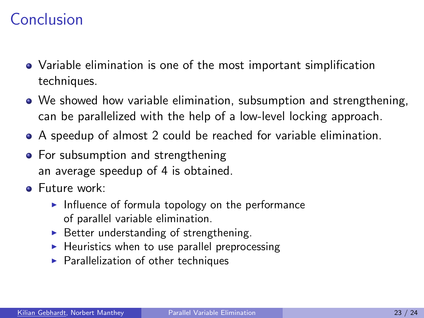# Conclusion

- Variable elimination is one of the most important simplification techniques.
- We showed how variable elimination, subsumption and strengthening, can be parallelized with the help of a low-level locking approach.
- A speedup of almost 2 could be reached for variable elimination.
- For subsumption and strengthening an average speedup of 4 is obtained.
- **•** Future work:
	- $\blacktriangleright$  Influence of formula topology on the performance of parallel variable elimination.
	- $\triangleright$  Better understanding of strengthening.
	- $\blacktriangleright$  Heuristics when to use parallel preprocessing
	- $\blacktriangleright$  Parallelization of other techniques